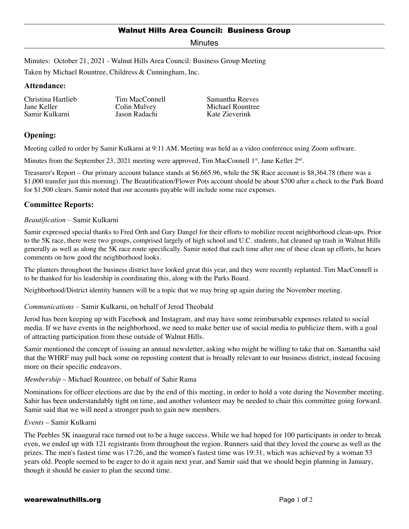Minutes

Minutes: October 21, 2021 - Walnut Hills Area Council: Business Group Meeting

Taken by Michael Rountree, Childress & Cunningham, Inc.

### **Attendance:**

Christina Hartlieb Jane Keller Samir Kulkarni

Tim MacConnell Colin Mulvey Jason Radachi

Samantha Reeves Michael Rountree Kate Zieverink

# **Opening:**

Meeting called to order by Samir Kulkarni at 9:11 AM. Meeting was held as a video conference using Zoom software.

Minutes from the September 23, 2021 meeting were approved, Tim MacConnell 1<sup>st</sup>, Jane Keller  $2<sup>nd</sup>$ .

Treasurer's Report – Our primary account balance stands at \$6,665.96, while the 5K Race account is \$8,364.78 (there was a \$1,000 transfer just this morning). The Beautification/Flower Pots account should be about \$700 after a check to the Park Board for \$1,500 clears. Samir noted that our accounts payable will include some race expenses.

# **Committee Reports:**

#### *Beautification* – Samir Kulkarni

Samir expressed special thanks to Fred Orth and Gary Dangel for their efforts to mobilize recent neighborhood clean-ups. Prior to the 5K race, there were two groups, comprised largely of high school and U.C. students, hat cleaned up trash in Walnut Hills generally as well as along the 5K race route specifically. Samir noted that each time after one of these clean up efforts, he hears comments on how good the neighborhood looks.

The planters throughout the business district have looked great this year, and they were recently replanted. Tim MacConnell is to be thanked for his leadership in coordinating this, along with the Parks Board.

Neighborhood/District identity banners will be a topic that we may bring up again during the November meeting.

*Communications* – Samir Kulkarni, on behalf of Jerod Theobald

Jerod has been keeping up with Facebook and Instagram, and may have some reimbursable expenses related to social media. If we have events in the neighborhood, we need to make better use of social media to publicize them, with a goal of attracting participation from those outside of Walnut Hills.

Samir mentioned the concept of issuing an annual newsletter, asking who might be willing to take that on. Samantha said that the WHRF may pull back some on reposting content that is broadly relevant to our business district, instead focusing more on their specific endeavors.

*Membership* – Michael Rountree, on behalf of Sahir Rama

Nominations for officer elections are due by the end of this meeting, in order to hold a vote during the November meeting. Sahir has been understandably tight on time, and another volunteer may be needed to chair this committee going forward. Samir said that we will need a stronger push to gain new members.

#### *Events* – Samir Kulkarni

The Peebles 5K inaugural race turned out to be a huge success. While we had hoped for 100 participants in order to break even, we ended up with 121 registrants from throughout the region. Runners said that they loved the course as well as the prizes. The men's fastest time was 17:26, and the women's fastest time was 19:31, which was achieved by a woman 53 years old. People seemed to be eager to do it again next year, and Samir said that we should begin planning in January, though it should be easier to plan the second time.